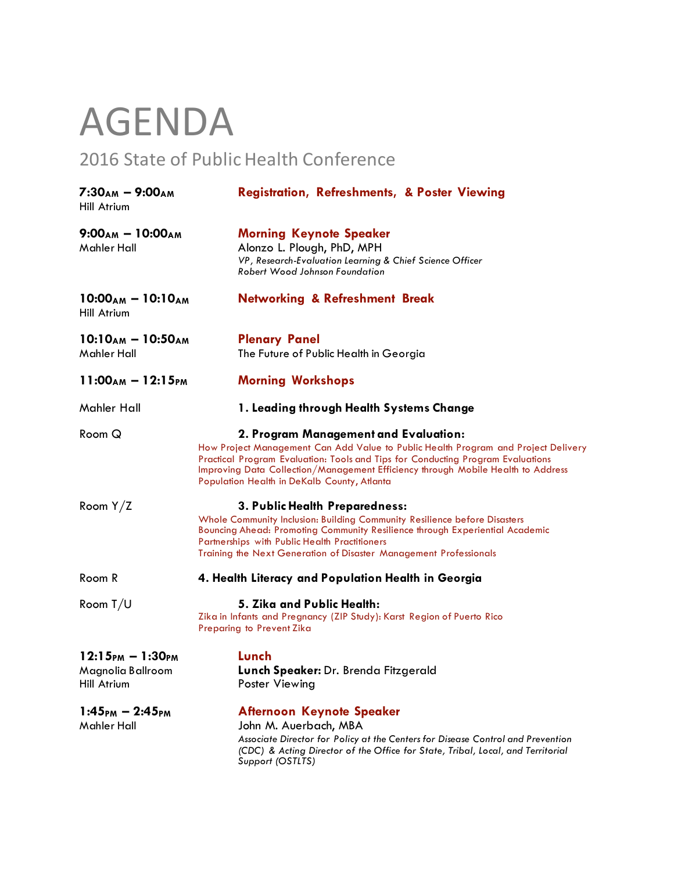## AGENDA

## 2016 State of Public Health Conference

| 7:30 <sub>ам</sub> – 9:00 <sub>ам</sub><br>Hill Atrium  | <b>Registration, Refreshments, &amp; Poster Viewing</b>                                                                                                                                                                                                                                                                                           |
|---------------------------------------------------------|---------------------------------------------------------------------------------------------------------------------------------------------------------------------------------------------------------------------------------------------------------------------------------------------------------------------------------------------------|
| 9:00 <sub>AM</sub> - 10:00 <sub>AM</sub><br>Mahler Hall | <b>Morning Keynote Speaker</b><br>Alonzo L. Plough, PhD, MPH<br>VP, Research-Evaluation Learning & Chief Science Officer<br>Robert Wood Johnson Foundation                                                                                                                                                                                        |
| $10:00_{AM} - 10:10_{AM}$<br>Hill Atrium                | <b>Networking &amp; Refreshment Break</b>                                                                                                                                                                                                                                                                                                         |
| $10:10_{AM} - 10:50_{AM}$<br>Mahler Hall                | <b>Plenary Panel</b><br>The Future of Public Health in Georgia                                                                                                                                                                                                                                                                                    |
| $11:00_{AM} - 12:15_{PM}$                               | <b>Morning Workshops</b>                                                                                                                                                                                                                                                                                                                          |
| Mahler Hall                                             | 1. Leading through Health Systems Change                                                                                                                                                                                                                                                                                                          |
| Room Q                                                  | 2. Program Management and Evaluation:<br>How Project Management Can Add Value to Public Health Program and Project Delivery<br>Practical Program Evaluation: Tools and Tips for Conducting Program Evaluations<br>Improving Data Collection/Management Efficiency through Mobile Health to Address<br>Population Health in DeKalb County, Atlanta |
| Room Y/Z                                                | 3. Public Health Preparedness:<br>Whole Community Inclusion: Building Community Resilience before Disasters<br>Bouncing Ahead: Promoting Community Resilience through Experiential Academic<br>Partnerships with Public Health Practitioners<br>Training the Next Generation of Disaster Management Professionals                                 |
| Room R                                                  | 4. Health Literacy and Population Health in Georgia                                                                                                                                                                                                                                                                                               |
| Room T/U                                                | 5. Zika and Public Health:<br>Zika in Infants and Pregnancy (ZIP Study): Karst Region of Puerto Rico<br><b>Preparing to Prevent Zika</b>                                                                                                                                                                                                          |
| $12:15PM - 1:30PM$<br>Magnolia Ballroom<br>Hill Atrium  | Lunch<br>Lunch Speaker: Dr. Brenda Fitzgerald<br>Poster Viewing                                                                                                                                                                                                                                                                                   |
| $1:45_{PM} - 2:45_{PM}$<br>Mahler Hall                  | <b>Afternoon Keynote Speaker</b><br>John M. Auerbach, MBA<br>Associate Director for Policy at the Centers for Disease Control and Prevention<br>(CDC) & Acting Director of the Office for State, Tribal, Local, and Territorial<br>Support (OSTLTS)                                                                                               |